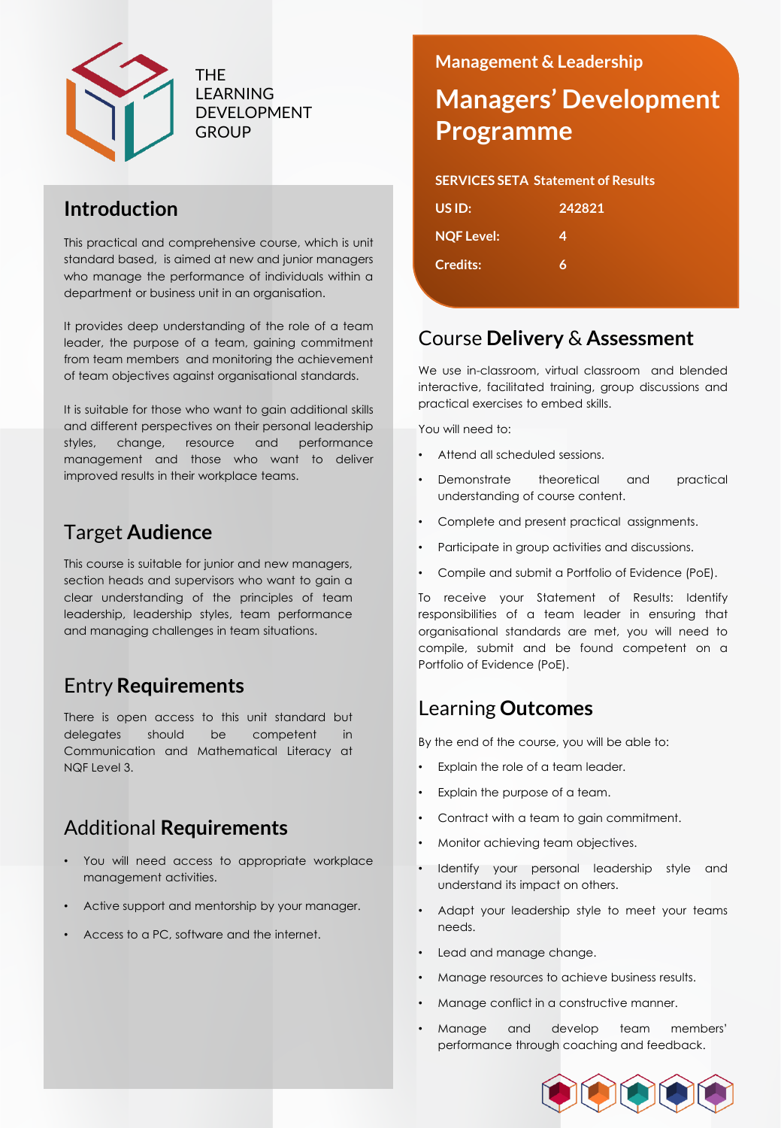

THE LEARNING DEVELOPMENT **GROUP** 

## **Introduction**

This practical and comprehensive course, which is unit standard based, is aimed at new and junior managers who manage the performance of individuals within a department or business unit in an organisation.

It provides deep understanding of the role of a team leader, the purpose of a team, gaining commitment from team members and monitoring the achievement of team objectives against organisational standards.

It is suitable for those who want to gain additional skills and different perspectives on their personal leadership styles, change, resource and performance management and those who want to deliver improved results in their workplace teams.

## Target **Audience**

This course is suitable for junior and new managers, section heads and supervisors who want to gain a clear understanding of the principles of team leadership, leadership styles, team performance and managing challenges in team situations.

# Entry **Requirements**

There is open access to this unit standard but delegates should be competent in Communication and Mathematical Literacy at NQF Level 3.

## Additional **Requirements**

- You will need access to appropriate workplace management activities.
- Active support and mentorship by your manager.
- Access to a PC, software and the internet.

### **Management & Leadership**

# **Managers' Development Programme**

#### **SERVICES SETA Statement of Results**

| US ID:            | 242821 |
|-------------------|--------|
| <b>NQF Level:</b> | 4      |
| <b>Credits:</b>   | 6      |
|                   |        |

### Course **Delivery** & **Assessment**

We use in-classroom, virtual classroom and blended interactive, facilitated training, group discussions and practical exercises to embed skills.

You will need to:

- Attend all scheduled sessions.
- Demonstrate theoretical and practical understanding of course content.
- Complete and present practical assignments.
- Participate in group activities and discussions.
- Compile and submit a Portfolio of Evidence (PoE).

To receive your Statement of Results: Identify responsibilities of a team leader in ensuring that organisational standards are met, you will need to compile, submit and be found competent on a Portfolio of Evidence (PoE).

### Learning **Outcomes**

By the end of the course, you will be able to:

- Explain the role of a team leader.
- Explain the purpose of a team.
- Contract with a team to gain commitment.
- Monitor achieving team objectives.
- Identify your personal leadership style and understand its impact on others.
- Adapt your leadership style to meet your teams needs.
- Lead and manage change.
- Manage resources to achieve business results.
- Manage conflict in a constructive manner.
- Manage and develop team members' performance through coaching and feedback.